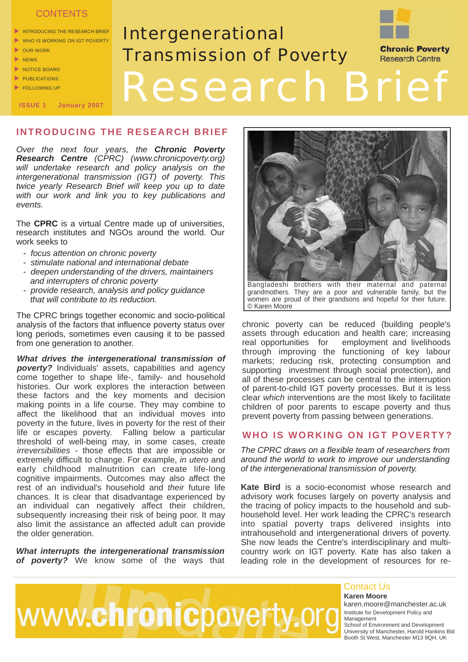## **CONTENTS**

 $\blacktriangleright$  INTRODUCING THE RESEARCH BRIEF

**ISSUE 1 January 2007**

- $\blacktriangleright$  WHO IS WORKING ON IGT POVERTY  $\triangleright$  OUR WORK
- $\triangleright$  NEWS
- $\triangleright$  NOTICE BOARD
- $\blacktriangleright$  PUBLICATIONS
- $\blacktriangleright$  FOLLOWING UP

# Intergenerational Transmission of Poverty **Chronic Poverty Research Centre** Research Brief

# **INTRODUCING THE RESEARCH BRIEF**

*Over the next four years, the Chronic Poverty Research Centre (CPRC) (www.chronicpoverty.org) will undertake research and policy analysis on the intergenerational transmission (IGT) of poverty. This twice yearly Research Brief will keep you up to date with our work and link you to key publications and events.*

The **CPRC** is a virtual Centre made up of universities, research institutes and NGOs around the world. Our work seeks to

- *focus attention on chronic poverty*
- *stimulate national and international debate*
- deepen understanding of the drivers, maintainers  *and interrupters of chronic poverty*
- *provide research, analysis and policy quidance that will contribute to its reduction.*

The CPRC brings together economic and socio-political analysis of the factors that influence poverty status over long periods, sometimes even causing it to be passed from one generation to another.

*What drives the intergenerational transmission of poverty?* Individuals' assets, capabilities and agency come together to shape life-, family- and household histories. Our work explores the interaction between these factors and the key moments and decision making points in a life course. They may combine to affect the likelihood that an individual moves into poverty in the future, lives in poverty for the rest of their life or escapes poverty. Falling below a particular threshold of well-being may, in some cases, create *irreversibilities* - those effects that are impossible or extremely difficult to change. For example, *in utero* and early childhood malnutrition can create life-long cognitive impairments. Outcomes may also affect the rest of an individual's household and *their* future life chances. It is clear that disadvantage experienced by an individual can negatively affect their children, subsequently increasing their risk of being poor. It may also limit the assistance an affected adult can provide the older generation.

*What interrupts the intergenerational transmission of poverty?* We know some of the ways that



Bangladeshi brothers with their maternal and paternal grandmothers. They are a poor and vulnerable family, but the women are proud of their grandsons and hopeful for their future. © Karen Moore

chronic poverty can be reduced (building people's assets through education and health care; increasing<br>real opportunities for employment and livelihoods employment and livelihoods through improving the functioning of key labour markets; reducing risk, protecting consumption and supporting investment through social protection), and all of these processes can be central to the interruption of parent-to-child IGT poverty processes. But it is less clear *which* interventions are the most likely to facilitate children of poor parents to escape poverty and thus prevent poverty from passing between generations.

## **WHO IS WORKING ON IGT POVERTY?**

*The CPRC draws on a flexible team of researchers from around the world to work to improve our understanding of the intergenerational transmission of poverty.* 

**Kate Bird** is a socio-economist whose research and advisory work focuses largely on poverty analysis and the tracing of policy impacts to the household and subhousehold level. Her work leading the CPRC's research into spatial poverty traps delivered insights into intrahousehold and intergenerational drivers of poverty. She now leads the Centre's interdisciplinary and multicountry work on IGT poverty. Kate has also taken a leading role in the development of resources for re-



#### **Karen Moore**  Contact Us

karen.moore@manchester.ac.uk Institute for Development Policy and Management School of Environment and Development University of Manchester, Harold Hankins Bld Booth St West, Manchester M13 9QH, UK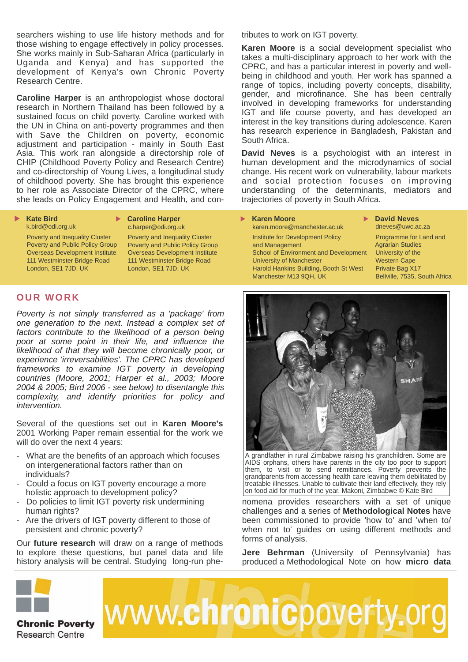searchers wishing to use life history methods and for those wishing to engage effectively in policy processes. She works mainly in Sub-Saharan Africa (particularly in Uganda and Kenya) and has supported the development of Kenya's own Chronic Poverty Research Centre.

**Caroline Harper** is an anthropologist whose doctoral research in Northern Thailand has been followed by a sustained focus on child poverty. Caroline worked with the UN in China on anti-poverty programmes and then with Save the Children on poverty, economic adjustment and participation - mainly in South East Asia. This work ran alongside a directorship role of CHIP (Childhood Poverty Policy and Research Centre) and co-directorship of Young Lives, a longitudinal study of childhood poverty. She has brought this experience to her role as Associate Director of the CPRC, where she leads on Policy Engagement and Health, and con-

he leads on Policy Engagement and Health, and con-

#### **Kate Bird** k.bird@odi.org.uk

#### **► Caroline Harper** c.harper@odi.org.uk

 Poverty and Inequality Cluster Poverty and Public Policy Group Overseas Development Institute 111 Westminster Bridge Road London, SE1 7JD, UK

 Poverty and Inequality Cluster Poverty and Public Policy Group Overseas Development Institute 111 Westminster Bridge Road London, SE1 7JD, UK

## **OUR WORK**

*Poverty is not simply transferred as a 'package' from one generation to the next. Instead a complex set of factors contribute to the likelihood of a person being poor at some point in their life, and influence the likelihood of that they will become chronically poor, or experience 'irreversabilities'. The CPRC has developed frameworks to examine IGT poverty in developing countries (Moore, 2001; Harper et al., 2003; Moore 2004 & 2005; Bird 2006 - see below) to disentangle this complexity, and identify priorities for policy and intervention.* 

Several of the questions set out in **Karen Moore's** 2001 Working Paper remain essential for the work we will do over the next 4 years:

- What are the benefits of an approach which focuses on intergenerational factors rather than on individuals?
- Could a focus on IGT poverty encourage a more holistic approach to development policy?
- Do policies to limit IGT poverty risk undermining human rights?
- Are the drivers of IGT poverty different to those of persistent and chronic poverty?

Our **future research** will draw on a range of methods to explore these questions, but panel data and life history analysis will be central. Studying long-run phetributes to work on IGT poverty.

**Karen Moore** is a social development specialist who takes a multi-disciplinary approach to her work with the CPRC, and has a particular interest in poverty and wellbeing in childhood and youth. Her work has spanned a range of topics, including poverty concepts, disability, gender, and microfinance. She has been centrally involved in developing frameworks for understanding IGT and life course poverty, and has developed an interest in the key transitions during adolescence. Karen has research experience in Bangladesh, Pakistan and South Africa.

**David Neves** is a psychologist with an interest in human development and the microdynamics of social change. His recent work on vulnerability, labour markets and social protection focuses on improving understanding of the determinants, mediators and trajectories of poverty in South Africa.

#### **Karen Moore**

 karen.moore@manchester.ac.uk Institute for Development Policy and Management School of Environment and Development University of Manchester Harold Hankins Building, Booth St West Manchester M13 9QH, UK

**David Neves** dneves@uwc.ac.za

 Programme for Land and Agrarian Studies University of the Western Cape Private Bag X17 Bellville, 7535, South Africa



grandfather in rural Zimbabwe raising his granchildren. Some are AIDS orphans, others have parents in the city too poor to support them, to visit or to send remittances. Poverty prevents the grandparents from accessing health care leaving them debilitated by treatable illnesses. Unable to cultivate their land effectively, they rely on food aid for much of the year. Makoni, Zimbabwe © Kate Bird

nomena provides researchers with a set of unique challenges and a series of **Methodological Notes** have been commissioned to provide 'how to' and 'when to/ when not to' guides on using different methods and forms of analysis.

**Jere Behrman** (University of Pennsylvania) has produced a Methodological Note on how **micro data** 

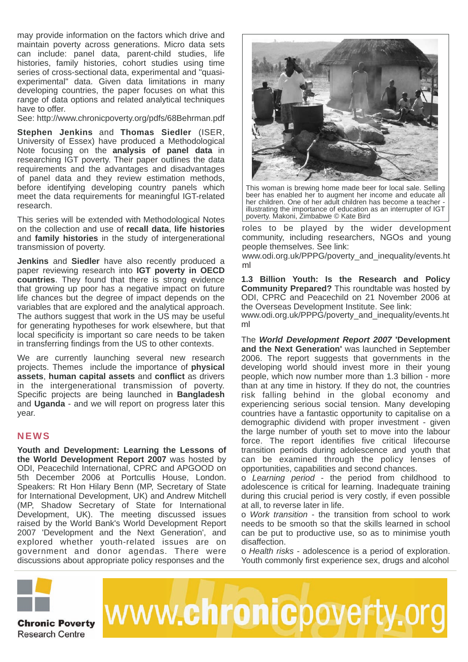may provide information on the factors which drive and maintain poverty across generations. Micro data sets can include: panel data, parent-child studies, life histories, family histories, cohort studies using time series of cross-sectional data, experimental and "quasiexperimental" data. Given data limitations in many developing countries, the paper focuses on what this range of data options and related analytical techniques have to offer.

See: http://www.chronicpoverty.org/pdfs/68Behrman.pdf

**Stephen Jenkins** and **Thomas Siedler** (ISER, University of Essex) have produced a Methodological Note focusing on the **analysis of panel data** in researching IGT poverty. Their paper outlines the data requirements and the advantages and disadvantages of panel data and they review estimation methods, before identifying developing country panels which meet the data requirements for meaningful IGT-related research.

This series will be extended with Methodological Notes on the collection and use of **recall data**, **life histories** and **family histories** in the study of intergenerational transmission of poverty.

**Jenkins** and **Siedler** have also recently produced a paper reviewing research into **IGT poverty in OECD countries**. They found that there is strong evidence that growing up poor has a negative impact on future life chances but the degree of impact depends on the variables that are explored and the analytical approach. The authors suggest that work in the US may be useful for generating hypotheses for work elsewhere, but that local specificity is important so care needs to be taken in transferring findings from the US to other contexts.

We are currently launching several new research projects. Themes include the importance of **physical assets**, **human capital assets** and **conflict** as drivers in the intergenerational transmission of poverty. Specific projects are being launched in **Bangladesh**  and **Uganda** - and we will report on progress later this year.

# **NEWS**

**Youth and Development: Learning the Lessons of the World Development Report 2007** was hosted by ODI, Peacechild International, CPRC and APGOOD on 5th December 2006 at Portcullis House, London. Speakers: Rt Hon Hilary Benn (MP, Secretary of State for International Development, UK) and Andrew Mitchell (MP, Shadow Secretary of State for International Development, UK). The meeting discussed issues raised by the World Bank's World Development Report 2007 'Development and the Next Generation', and explored whether youth-related issues are on government and donor agendas. There were discussions about appropriate policy responses and the



This woman is brewing home made beer for local sale. Selling beer has enabled her to augment her income and educate all her children. One of her adult children has become a teacher illustrating the importance of education as an interrupter of IGT poverty. Makoni, Zimbabwe © Kate Bird

roles to be played by the wider development community, including researchers, NGOs and young people themselves. See link:

www.odi.org.uk/PPPG/poverty\_and\_inequality/events.ht ml

**1.3 Billion Youth: Is the Research and Policy Community Prepared?** This roundtable was hosted by ODI, CPRC and Peacechild on 21 November 2006 at the Overseas Development Institute. See link:

www.odi.org.uk/PPPG/poverty\_and\_inequality/events.ht ml

The *World Development Report 2007* **'Development and the Next Generation'** was launched in September 2006. The report suggests that governments in the developing world should invest more in their young people, which now number more than 1.3 billion - more than at any time in history. If they do not, the countries risk falling behind in the global economy and experiencing serious social tension. Many developing countries have a fantastic opportunity to capitalise on a demographic dividend with proper investment - given the large number of youth set to move into the labour force. The report identifies five critical lifecourse transition periods during adolescence and youth that can be examined through the policy lenses of opportunities, capabilities and second chances.

o *Learning period* - the period from childhood to adolescence is critical for learning. Inadequate training during this crucial period is very costly, if even possible at all, to reverse later in life.

o *Work transition* - the transition from school to work needs to be smooth so that the skills learned in school can be put to productive use, so as to minimise youth disaffection.

o *Health risks* - adolescence is a period of exploration. Youth commonly first experience sex, drugs and alcohol

www.chronicpoverty.org



**Chronic Poverty Research Centre**